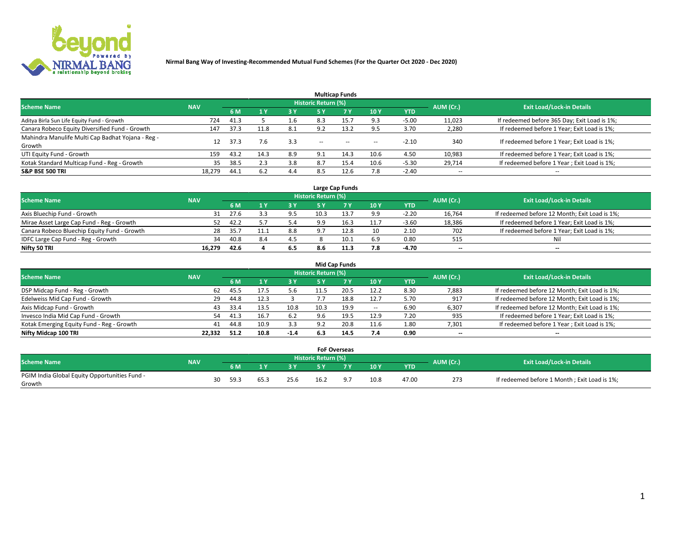

|                                                   |            |      |      |     |                            | <b>Multicap Funds</b> |       |            |                          |                                              |
|---------------------------------------------------|------------|------|------|-----|----------------------------|-----------------------|-------|------------|--------------------------|----------------------------------------------|
| <b>Scheme Name</b>                                | <b>NAV</b> |      |      |     | <b>Historic Return (%)</b> |                       |       |            | AUM (Cr.)                | <b>Exit Load/Lock-in Details</b>             |
|                                                   |            | 6 M  |      | 3 Y | 5 Y                        | 7 <sub>V</sub>        | 10Y   | <b>YTD</b> |                          |                                              |
| Aditya Birla Sun Life Equity Fund - Growth        | 724        | 41.3 |      | 1.6 | 8.3                        | 15.7                  | 9.3   | $-5.00$    | 11,023                   | If redeemed before 365 Day; Exit Load is 1%; |
| Canara Robeco Equity Diversified Fund - Growth    | 147        | 37.3 | 11.8 | 8.1 | 9.2                        | 13.2                  | 9.5   | 3.70       | 2,280                    | If redeemed before 1 Year; Exit Load is 1%;  |
| Mahindra Manulife Multi Cap Badhat Yojana - Reg - | 12         | 37.3 | 7.6  | 3.3 |                            |                       |       | $-2.10$    | 340                      | If redeemed before 1 Year; Exit Load is 1%;  |
| Growth                                            |            |      |      |     | $\sim$                     | $- -$                 | $- -$ |            |                          |                                              |
| UTI Equity Fund - Growth                          | 159        | 43.2 | 14.3 | 8.9 | 9.1                        | 14.3                  | 10.6  | 4.50       | 10,983                   | If redeemed before 1 Year; Exit Load is 1%;  |
| Kotak Standard Multicap Fund - Reg - Growth       | 35         | 38.5 | 2.3  | 3.8 | 8.7                        | 15.4                  | 10.6  | $-5.30$    | 29,714                   | If redeemed before 1 Year; Exit Load is 1%;  |
| <b>S&amp;P BSE 500 TRI</b>                        | 18.279     | 44.1 | 6.2  | 4.4 | 8.5                        | 12.6                  | 7.8   | $-2.40$    | $\overline{\phantom{a}}$ | $- -$                                        |

| Large Cap Funds                             |            |      |     |     |                     |      |      |            |           |                                               |  |  |
|---------------------------------------------|------------|------|-----|-----|---------------------|------|------|------------|-----------|-----------------------------------------------|--|--|
| <b>Scheme Name</b>                          | <b>NAV</b> |      |     |     | Historic Return (%) |      |      |            | AUM (Cr.) | <b>Exit Load/Lock-in Details</b>              |  |  |
|                                             |            | 6 M  |     | 3 Y | 5 ۷                 |      | 10Y  | <b>YTD</b> |           |                                               |  |  |
| Axis Bluechip Fund - Growth                 | 31         | 27.6 |     | 9.5 | 10.3                |      | 9.9  | $-2.20$    | 16,764    | If redeemed before 12 Month; Exit Load is 1%; |  |  |
| Mirae Asset Large Cap Fund - Reg - Growth   | 52         | 42.2 |     | 5.4 | 9.9                 |      | 11.7 | $-3.60$    | 18,386    | If redeemed before 1 Year; Exit Load is 1%;   |  |  |
| Canara Robeco Bluechip Equity Fund - Growth | 28         | 35.7 |     | 8.8 | 9.7                 | 12.8 | 10   | 2.10       | 702       | If redeemed before 1 Year; Exit Load is 1%;   |  |  |
| IDFC Large Cap Fund - Reg - Growth          | 34         | 40.8 | 8.4 | 4.5 |                     |      | 6.9  | 0.80       | 515       | Nil                                           |  |  |
| Nifty 50 TRI                                | 16.279     | 42.6 |     | 6.5 | 8.6                 |      | 7.8  | -4.70      | $- -$     | $- -$                                         |  |  |

|                                           |            |      |      |        |                            | <b>Mid Cap Funds</b> |                          |      |           |                                               |
|-------------------------------------------|------------|------|------|--------|----------------------------|----------------------|--------------------------|------|-----------|-----------------------------------------------|
| <b>Scheme Name</b>                        | <b>NAV</b> |      |      |        | <b>Historic Return (%)</b> |                      |                          |      | AUM (Cr.) | <b>Exit Load/Lock-in Details</b>              |
|                                           |            | 6 M  |      | 3 Y    | <b>5 Y</b>                 |                      | 10 Y                     | YTD  |           |                                               |
| DSP Midcap Fund - Reg - Growth            | 62         | 45.5 |      | 5.6    |                            | 20.5                 | 12.2                     | 8.30 | 7,883     | If redeemed before 12 Month; Exit Load is 1%; |
| Edelweiss Mid Cap Fund - Growth           | 29         | 44.8 | 12.3 |        |                            | 18.8                 | 12.7                     | 5.70 | 917       | If redeemed before 12 Month; Exit Load is 1%; |
| Axis Midcap Fund - Growth                 | 43         | 33.4 | 13.5 | 10.8   | 10.3                       | 19.9                 | $\hspace{0.05cm} \ldots$ | 6.90 | 6,307     | If redeemed before 12 Month; Exit Load is 1%; |
| Invesco India Mid Cap Fund - Growth       | 54         | 41.3 |      | 6.2    |                            | 19.5                 | 12.9                     | 7.20 | 935       | If redeemed before 1 Year; Exit Load is 1%;   |
| Kotak Emerging Equity Fund - Reg - Growth | 41         | 44.8 | 10.9 | 3.3    | 9.2                        | 20.8                 | 11.6                     | 1.80 | 7,301     | If redeemed before 1 Year; Exit Load is 1%;   |
| Nifty Midcap 100 TRI                      | 22.332     | 51.2 | 10.8 | $-1.4$ | 6.3                        | 14.5                 | 7.4                      | 0.90 | $- -$     | --                                            |

|                                               |            |    |      |      |      | <b>FoF Overseas</b> |                |      |            |           |                                              |
|-----------------------------------------------|------------|----|------|------|------|---------------------|----------------|------|------------|-----------|----------------------------------------------|
| <b>Scheme Name</b>                            | <b>NAV</b> |    |      |      |      | Historic Return (%) |                |      |            | AUM (Cr.) | <b>Exit Load/Lock-in Details</b>             |
|                                               |            |    | 6 M  |      |      | <b>EV</b>           | 7 <sub>2</sub> | 10Y  | <b>YTD</b> |           |                                              |
| PGIM India Global Equity Opportunities Fund - |            | 30 |      | 65.3 |      |                     | - Q 7          |      |            |           |                                              |
| Growth                                        |            |    | 59.3 |      | 25.6 | 16.2                |                | 10.8 | 47.00      | 273       | If redeemed before 1 Month; Exit Load is 1%; |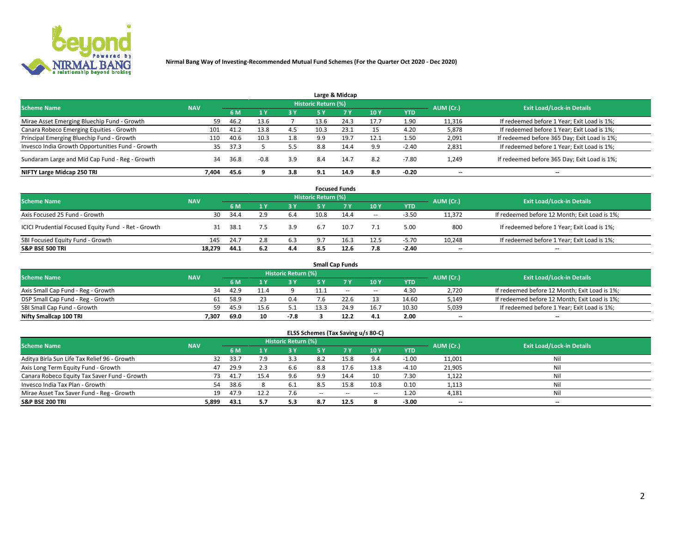

|                                                  |            |      |        |     |                     | Large & Midcap |      |            |                          |                                              |
|--------------------------------------------------|------------|------|--------|-----|---------------------|----------------|------|------------|--------------------------|----------------------------------------------|
| <b>Scheme Name</b>                               | <b>NAV</b> |      |        |     | Historic Return (%) |                |      |            | AUM (Cr.)                | <b>Exit Load/Lock-in Details</b>             |
|                                                  |            | 6 M  |        | 3 Y | <b>5 Y</b>          | 7Y             | 10Y  | <b>YTD</b> |                          |                                              |
| Mirae Asset Emerging Bluechip Fund - Growth      | 59         | 46.2 | 13.6   |     | 13.6                | 24.3           | 17.7 | 1.90       | 11,316                   | If redeemed before 1 Year; Exit Load is 1%;  |
| Canara Robeco Emerging Equities - Growth         | 101        | 41.2 | 13.8   | 4.5 | 10.3                | 23.1           | 15   | 4.20       | 5,878                    | If redeemed before 1 Year; Exit Load is 1%;  |
| Principal Emerging Bluechip Fund - Growth        | 110        | 40.6 | 10.3   | 1.8 | 9.9                 | 19.7           | 12.1 | 1.50       | 2,091                    | If redeemed before 365 Day; Exit Load is 1%; |
| Invesco India Growth Opportunities Fund - Growth | 35         | 37.3 |        | 5.5 | 8.8                 | 14.4           | 9.9  | $-2.40$    | 2,831                    | If redeemed before 1 Year; Exit Load is 1%;  |
| Sundaram Large and Mid Cap Fund - Reg - Growth   | 34         | 36.8 | $-0.8$ | 3.9 | 8.4                 | 14.7           | 8.2  | $-7.80$    | 1,249                    | If redeemed before 365 Day; Exit Load is 1%; |
| NIFTY Large Midcap 250 TRI                       | 7.404      | 45.6 |        | 3.8 | 9.1                 | 14.9           | 8.9  | $-0.20$    | $\overline{\phantom{a}}$ | --                                           |

| <b>Focused Funds</b>                                |            |      |     |           |                            |           |       |            |                          |                                               |  |  |
|-----------------------------------------------------|------------|------|-----|-----------|----------------------------|-----------|-------|------------|--------------------------|-----------------------------------------------|--|--|
| <b>Scheme Name</b>                                  | <b>NAV</b> |      |     |           | <b>Historic Return (%)</b> |           |       |            | AUM (Cr.)                | <b>Exit Load/Lock-in Details</b>              |  |  |
|                                                     |            | 6 M  |     | <b>3Y</b> | <b>5Y</b>                  | <b>7Y</b> | 10 Y  | <b>YTD</b> |                          |                                               |  |  |
| Axis Focused 25 Fund - Growth                       | 30         | 34.4 | 2.9 | 6.4       | 10.8                       | 14.4      | $\!-$ | $-3.50$    | 11,372                   | If redeemed before 12 Month; Exit Load is 1%; |  |  |
| ICICI Prudential Focused Equity Fund - Ret - Growth | 31         | 38.1 |     | 3.9       | 6.7                        | 10.7      | 7.1   | 5.00       | 800                      | If redeemed before 1 Year; Exit Load is 1%;   |  |  |
| SBI Focused Equity Fund - Growth                    | 145        | 24.7 | 2.8 | 6.3       | 9.7                        | 16.3      | 12.5  | $-5.70$    | 10,248                   | If redeemed before 1 Year; Exit Load is 1%;   |  |  |
| <b>S&amp;P BSE 500 TRI</b>                          | 18.279     | 44.1 | 6.2 | 4.4       | 8.5                        | 12.6      | 7.8   | $-2.40$    | $\overline{\phantom{m}}$ | $- -$                                         |  |  |

|                                    |            |      |      |                            | <b>Small Cap Funds</b> |                          |       |           |                                               |
|------------------------------------|------------|------|------|----------------------------|------------------------|--------------------------|-------|-----------|-----------------------------------------------|
| <b>Scheme Name</b>                 | <b>NAV</b> |      |      | <b>Historic Return (%)</b> |                        |                          |       | AUM (Cr.) | <b>Exit Load/Lock-in Details</b>              |
|                                    |            | 6 M  |      | 2 V                        |                        | 10Y                      | YTD   |           |                                               |
| Axis Small Cap Fund - Reg - Growth | 34         | 42.9 |      |                            | $- -$                  | $\overline{\phantom{a}}$ | 4.30  | 2,720     | If redeemed before 12 Month; Exit Load is 1%; |
| DSP Small Cap Fund - Reg - Growth  | 61         | 58.9 |      | U.4                        |                        |                          | 14.60 | 5,149     | If redeemed before 12 Month; Exit Load is 1%; |
| SBI Small Cap Fund - Growth        | 59         | 45.9 | 15.6 | 5.1                        | 24.9                   | 16.7                     | 10.30 | 5,039     | If redeemed before 1 Year; Exit Load is 1%;   |
| Nifty Smallcap 100 TRI             | 7.307      | 69.0 | 10   | $-7.8$                     | 12.7                   | 4.1                      | 2.00  | $- -$     | $\overline{\phantom{a}}$                      |

|                                              |            |      |      | <b>Historic Return (%)</b> |        | $\ddot{\phantom{1}}$ |                          |            |                          |                                  |
|----------------------------------------------|------------|------|------|----------------------------|--------|----------------------|--------------------------|------------|--------------------------|----------------------------------|
| <b>Scheme Name</b>                           | <b>NAV</b> | 6 M  |      | 3 Y                        | 5 Y    | <b>7Y</b>            | 10Y                      | <b>YTD</b> | AUM (Cr.)                | <b>Exit Load/Lock-in Details</b> |
| Aditya Birla Sun Life Tax Relief 96 - Growth | 32         | 33.7 |      | 3.3                        | 8.2    | 15.8                 | 9.4                      | $-1.00$    | 11,001                   | Nil                              |
| Axis Long Term Equity Fund - Growth          | 47         | 29.9 |      | 6.6                        | 8.8    | 17.6                 | 13.8                     | $-4.10$    | 21,905                   | Nil                              |
| Canara Robeco Equity Tax Saver Fund - Growth | 73.        | 41.7 | 15.4 | 9.6                        |        | 14.4                 | 10                       | 7.30       | 1,122                    | Nil                              |
| Invesco India Tax Plan - Growth              | 54         | 38.6 |      | 6.1                        |        | 15.8                 | 10.8                     | 0.10       | 1,113                    | Nil                              |
| Mirae Asset Tax Saver Fund - Reg - Growth    | 19         | 47.9 |      | 7.6                        | $\sim$ | $-$                  | $\overline{\phantom{a}}$ | 1.20       | 4,181                    | Nil                              |
| S&P BSE 200 TRI                              | 5,899      | 43.1 |      | 5.3                        | 8.7    | 12.5                 |                          | $-3.00$    | $\overline{\phantom{a}}$ | $\overline{\phantom{a}}$         |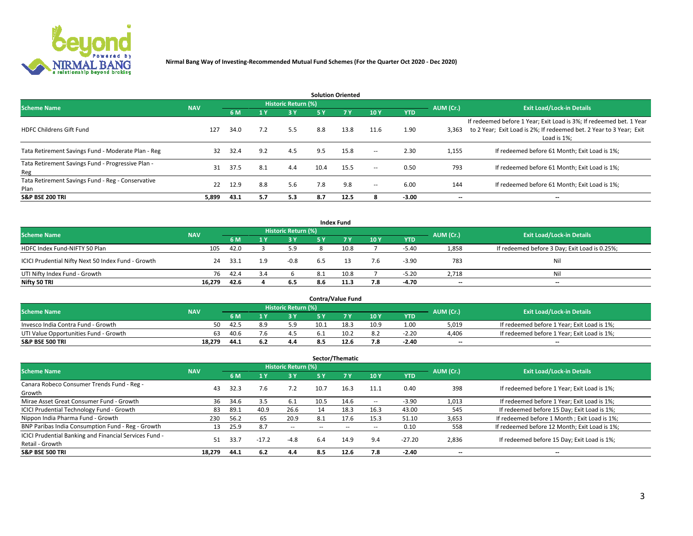

| <b>Solution Oriented</b>                                  |            |      |              |                     |      |            |                          |            |                          |                                                                                                                                                           |  |  |  |
|-----------------------------------------------------------|------------|------|--------------|---------------------|------|------------|--------------------------|------------|--------------------------|-----------------------------------------------------------------------------------------------------------------------------------------------------------|--|--|--|
| <b>Scheme Name</b>                                        | <b>NAV</b> |      |              | Historic Return (%) |      |            |                          |            | AUM (Cr.)                | <b>Exit Load/Lock-in Details</b>                                                                                                                          |  |  |  |
|                                                           |            | 6 M  | $\sqrt{1}$ Y | 3 Y                 | 5 Y  | <b>7 Y</b> | 10Y                      | <b>YTD</b> |                          |                                                                                                                                                           |  |  |  |
| <b>HDFC Childrens Gift Fund</b>                           | 127        | 34.0 | 7.2          | 5.5                 | 8.8  | 13.8       | 11.6                     | 1.90       | 3,363                    | If redeemed before 1 Year; Exit Load is 3%; If redeemed bet. 1 Year<br>to 2 Year; Exit Load is 2%; If redeemed bet. 2 Year to 3 Year; Exit<br>Load is 1%; |  |  |  |
| Tata Retirement Savings Fund - Moderate Plan - Reg        | 32         | 32.4 | 9.2          | 4.5                 | 9.5  | 15.8       | $\overline{\phantom{a}}$ | 2.30       | 1,155                    | If redeemed before 61 Month; Exit Load is 1%;                                                                                                             |  |  |  |
| Tata Retirement Savings Fund - Progressive Plan -<br>Reg  | 31         | 37.5 | 8.1          | 4.4                 | 10.4 | 15.5       | $\overline{\phantom{a}}$ | 0.50       | 793                      | If redeemed before 61 Month: Exit Load is 1%:                                                                                                             |  |  |  |
| Tata Retirement Savings Fund - Reg - Conservative<br>Plan | 22         | 12.9 | 8.8          | 5.6                 | 7.8  | 9.8        | $\overline{\phantom{a}}$ | 6.00       | 144                      | If redeemed before 61 Month; Exit Load is 1%;                                                                                                             |  |  |  |
| <b>S&amp;P BSE 200 TRI</b>                                | 5,899      | 43.1 | 5.7          | 5.3                 | 8.7  | 12.5       |                          | $-3.00$    | $\overline{\phantom{a}}$ | $\overline{\phantom{a}}$                                                                                                                                  |  |  |  |

|                                                    |            |             |     |                     |     | <b>Index Fund</b> |     |            |           |                                               |
|----------------------------------------------------|------------|-------------|-----|---------------------|-----|-------------------|-----|------------|-----------|-----------------------------------------------|
| <b>Scheme Name</b>                                 | <b>NAV</b> |             |     | Historic Return (%) |     |                   |     |            | AUM (Cr.) | <b>Exit Load/Lock-in Details</b>              |
|                                                    |            | 6 M         |     | <b>3Y</b>           | 5 Y | <b>7 Y</b>        | 10Y | <b>YTD</b> |           |                                               |
| HDFC Index Fund-NIFTY 50 Plan                      |            | 42.0<br>105 |     | 5.9                 |     | 10.8              |     | -5.40      | 1,858     | If redeemed before 3 Day; Exit Load is 0.25%; |
| ICICI Prudential Nifty Next 50 Index Fund - Growth |            | 24<br>-33.1 | 1.9 | $-0.8$              |     |                   | 7.6 | $-3.90$    | 783       | Nil                                           |
| UTI Nifty Index Fund - Growth                      |            | 42.4<br>76  | 3.4 |                     |     | 10.8              |     | $-5.20$    | 2,718     | Nil                                           |
| Nifty 50 TRI                                       | 16,279     | 42.6        |     | 6.5                 | 8.6 | 11.3              | 7.8 | $-4.70$    | $- -$     | $\overline{\phantom{a}}$                      |

| <b>Contra/Value Fund</b>              |            |      |     |                     |      |      |      |            |           |                                             |  |  |
|---------------------------------------|------------|------|-----|---------------------|------|------|------|------------|-----------|---------------------------------------------|--|--|
| <b>Scheme Name</b>                    | <b>NAV</b> |      |     | Historic Return (%) |      |      |      |            | AUM (Cr.) | <b>Exit Load/Lock-in Details</b>            |  |  |
|                                       |            | 6 M  |     |                     |      | 7 V  | 10Y  | <b>YTD</b> |           |                                             |  |  |
| Invesco India Contra Fund - Growth    | 50         | 42.5 | 8.9 | 5.9                 | 10.1 | 18.3 | 10.9 | 1.00       | 5,019     | If redeemed before 1 Year; Exit Load is 1%; |  |  |
| UTI Value Opportunities Fund - Growth | 63         | 40.6 |     | 4.5                 |      | 10.2 | 8.2  | $-2.20$    | 4,406     | If redeemed before 1 Year; Exit Load is 1%; |  |  |
| <b>S&amp;P BSE 500 TRI</b>            | 18.279     | 44.1 | 6.2 | 4.4                 |      | 12.6 | 7.8  | $-2.40$    | $-$       | $- -$                                       |  |  |

| Sector/Thematic                                        |            |      |                |                     |           |        |      |            |           |                                               |  |  |
|--------------------------------------------------------|------------|------|----------------|---------------------|-----------|--------|------|------------|-----------|-----------------------------------------------|--|--|
| <b>Scheme Name</b>                                     | <b>NAV</b> |      |                | Historic Return (%) |           |        |      |            | AUM (Cr.) | <b>Exit Load/Lock-in Details</b>              |  |  |
|                                                        |            | 6 M  | 1 <sub>Y</sub> | <b>3Y</b>           | <b>5Y</b> | 7 Y    | 10Y  | <b>YTD</b> |           |                                               |  |  |
| Canara Robeco Consumer Trends Fund - Reg -             | 43         | 32.3 | 7.6            | 7.2                 | 10.7      | 16.3   | 11.1 | 0.40       | 398       | If redeemed before 1 Year; Exit Load is 1%;   |  |  |
| Growth                                                 |            |      |                |                     |           |        |      |            |           |                                               |  |  |
| Mirae Asset Great Consumer Fund - Growth               | 36         | 34.6 | 3.5            | 6.1                 | 10.5      | 14.6   | --   | $-3.90$    | 1,013     | If redeemed before 1 Year; Exit Load is 1%;   |  |  |
| ICICI Prudential Technology Fund - Growth              | 83         | 89.1 | 40.9           | 26.6                | 14        | 18.3   | 16.3 | 43.00      | 545       | If redeemed before 15 Day; Exit Load is 1%;   |  |  |
| Nippon India Pharma Fund - Growth                      | 230        | 56.2 | 65             | 20.9                | 8.1       | 17.6   | 15.3 | 51.10      | 3,653     | If redeemed before 1 Month; Exit Load is 1%;  |  |  |
| BNP Paribas India Consumption Fund - Reg - Growth      | 13         | 25.9 | 8.7            | $\sim$              | --        | $\sim$ | --   | 0.10       | 558       | If redeemed before 12 Month; Exit Load is 1%; |  |  |
| ICICI Prudential Banking and Financial Services Fund - | 51         | 33.7 | $-17.2$        | $-4.8$              | 6.4       | 14.9   | 9.4  | $-27.20$   | 2,836     | If redeemed before 15 Day; Exit Load is 1%;   |  |  |
| Retail - Growth                                        |            |      |                |                     |           |        |      |            |           |                                               |  |  |
| <b>S&amp;P BSE 500 TRI</b>                             | 18.279     | 44.1 | 6.2            | 4.4                 | 8.5       | 12.6   | 7.8  | $-2.40$    | --        | $- -$                                         |  |  |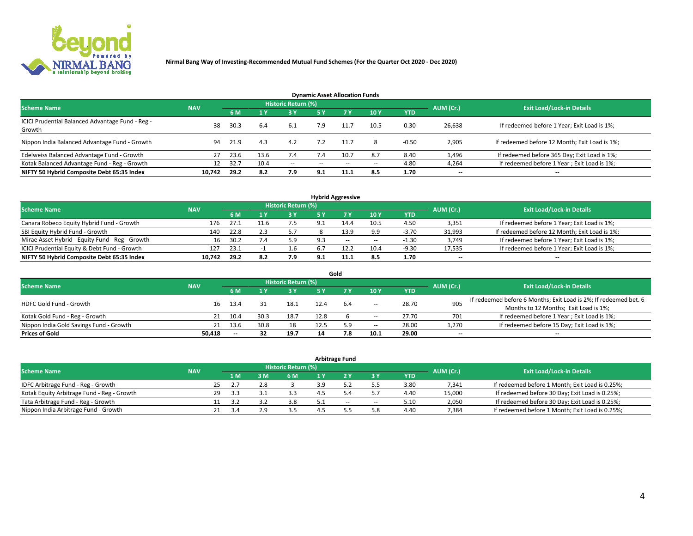

| <b>Dynamic Asset Allocation Funds</b>                      |            |      |      |                     |               |           |       |            |           |                                               |  |  |  |  |
|------------------------------------------------------------|------------|------|------|---------------------|---------------|-----------|-------|------------|-----------|-----------------------------------------------|--|--|--|--|
| <b>Scheme Name</b>                                         | <b>NAV</b> |      |      | Historic Return (%) |               |           |       |            | AUM (Cr.) | <b>Exit Load/Lock-in Details</b>              |  |  |  |  |
|                                                            |            | 6 M  |      | 3 Y                 | <b>5Y</b>     | <b>7Y</b> | 10Y   | <b>YTD</b> |           |                                               |  |  |  |  |
| ICICI Prudential Balanced Advantage Fund - Reg -<br>Growth | 38         | 30.3 | 6.4  | 6.1                 | 7.9           |           | 10.5  | 0.30       | 26,638    | If redeemed before 1 Year; Exit Load is 1%;   |  |  |  |  |
| Nippon India Balanced Advantage Fund - Growth              | 94         | 21.9 | 4.3  | 4.2                 | 7.2           | 11.7      | 8     | $-0.50$    | 2,905     | If redeemed before 12 Month; Exit Load is 1%; |  |  |  |  |
| Edelweiss Balanced Advantage Fund - Growth                 | 27         | 23.6 | 13.6 | 7.4                 |               | 10.7      | 8.7   | 8.40       | 1,496     | If redeemed before 365 Day; Exit Load is 1%;  |  |  |  |  |
| Kotak Balanced Advantage Fund - Reg - Growth               | 12         | 32.7 | 10.4 | $\sim$              | $\sim$ $\sim$ | $-$       | $- -$ | 4.80       | 4,264     | If redeemed before 1 Year; Exit Load is 1%;   |  |  |  |  |
| NIFTY 50 Hybrid Composite Debt 65:35 Index                 | 10,742     | 29.2 | 8.2  | 7.9                 | 9.1           | 11.1      | 8.5   | 1.70       | --        | --                                            |  |  |  |  |

| <b>Hybrid Aggressive</b>                        |            |           |                                  |            |     |        |        |            |        |                                               |  |  |  |  |
|-------------------------------------------------|------------|-----------|----------------------------------|------------|-----|--------|--------|------------|--------|-----------------------------------------------|--|--|--|--|
| <b>Scheme Name</b>                              | <b>NAV</b> | AUM (Cr.) | <b>Exit Load/Lock-in Details</b> |            |     |        |        |            |        |                                               |  |  |  |  |
|                                                 |            | 6 M       |                                  | <b>3 Y</b> | 5 ۷ |        | 10Y    | <b>YTD</b> |        |                                               |  |  |  |  |
| Canara Robeco Equity Hybrid Fund - Growth       | 176        | 27.1      |                                  | 7.5        |     | 14.4   | 10.5   | 4.50       | 3,351  | If redeemed before 1 Year; Exit Load is 1%;   |  |  |  |  |
| SBI Equity Hybrid Fund - Growth                 | 140        | 22.8      |                                  | 5.7        |     | 13.9   | 9.9    | $-3.70$    | 31,993 | If redeemed before 12 Month; Exit Load is 1%; |  |  |  |  |
| Mirae Asset Hybrid - Equity Fund - Reg - Growth | 16         | 30.2      |                                  | 5.9        | 9.3 | $\sim$ | $\sim$ | $-1.30$    | 3,749  | If redeemed before 1 Year; Exit Load is 1%;   |  |  |  |  |
| ICICI Prudential Equity & Debt Fund - Growth    | 127        | 23.1      | . .                              | 1.6        | 6.7 |        | 10.4   | $-9.30$    | 17,535 | If redeemed before 1 Year; Exit Load is 1%;   |  |  |  |  |
| NIFTY 50 Hybrid Composite Debt 65:35 Index      | 10.742     | 29.2      | 8.2                              | 7.9        | 9.1 |        | 8.5    | 1.70       | $- -$  | $\overline{\phantom{a}}$                      |  |  |  |  |

|                                         |            |                          |           |                                  |      | Gold |                          |       |                          |                                                                  |
|-----------------------------------------|------------|--------------------------|-----------|----------------------------------|------|------|--------------------------|-------|--------------------------|------------------------------------------------------------------|
| <b>Scheme Name</b>                      | <b>NAV</b> |                          | AUM (Cr.) | <b>Exit Load/Lock-in Details</b> |      |      |                          |       |                          |                                                                  |
|                                         |            | 6 M                      |           | 3 Y                              | ς γ  |      | 10Y                      | YTD   |                          |                                                                  |
| HDFC Gold Fund - Growth                 | 16         | 13.4                     |           | 18.1                             |      | 6.4  |                          | 28.70 | 905                      | If redeemed before 6 Months; Exit Load is 2%; If redeemed bet. 6 |
|                                         |            |                          |           |                                  |      |      | $\overline{\phantom{a}}$ |       |                          | Months to 12 Months; Exit Load is 1%;                            |
| Kotak Gold Fund - Reg - Growth          |            | 10.4                     | 30.3      | 18.7                             | 12.8 |      | $\overline{\phantom{a}}$ | 27.70 | 701                      | If redeemed before 1 Year; Exit Load is 1%;                      |
| Nippon India Gold Savings Fund - Growth | 21         | 13.6                     | 30.8      | 18                               |      | 5.9  | $\overline{\phantom{a}}$ | 28.00 | 1,270                    | If redeemed before 15 Day; Exit Load is 1%;                      |
| <b>Prices of Gold</b>                   | 50.418     | $\overline{\phantom{a}}$ | 32        | 19.7                             | 14   | 7.8  | 10.1                     | 29.00 | $\overline{\phantom{a}}$ | $- -$                                                            |

| <b>Arbitrage Fund</b>                      |            |                                  |      |     |     |     |     |     |            |        |                                                 |  |  |  |
|--------------------------------------------|------------|----------------------------------|------|-----|-----|-----|-----|-----|------------|--------|-------------------------------------------------|--|--|--|
| <b>Scheme Name</b>                         | AUM (Cr.)  | <b>Exit Load/Lock-in Details</b> |      |     |     |     |     |     |            |        |                                                 |  |  |  |
|                                            | <b>NAV</b> |                                  | 1 M. | : M | 6 M | 1 Y |     | 3 Y | <b>YTD</b> |        |                                                 |  |  |  |
| IDFC Arbitrage Fund - Reg - Growth         |            | 25                               |      |     |     |     |     |     | 3.80       | 7,341  | If redeemed before 1 Month; Exit Load is 0.25%; |  |  |  |
| Kotak Equity Arbitrage Fund - Reg - Growth |            | 29                               | -3.3 |     |     |     |     |     | 4.40       | 15,000 | If redeemed before 30 Day; Exit Load is 0.25%;  |  |  |  |
| Tata Arbitrage Fund - Reg - Growth         |            |                                  |      |     | 3.8 |     | $-$ | --  | 5.10       | 2,050  | If redeemed before 30 Day; Exit Load is 0.25%;  |  |  |  |
| Nippon India Arbitrage Fund - Growth       |            |                                  | 34   |     |     |     |     | 5.8 | 4.40       | 7.384  | If redeemed before 1 Month; Exit Load is 0.25%; |  |  |  |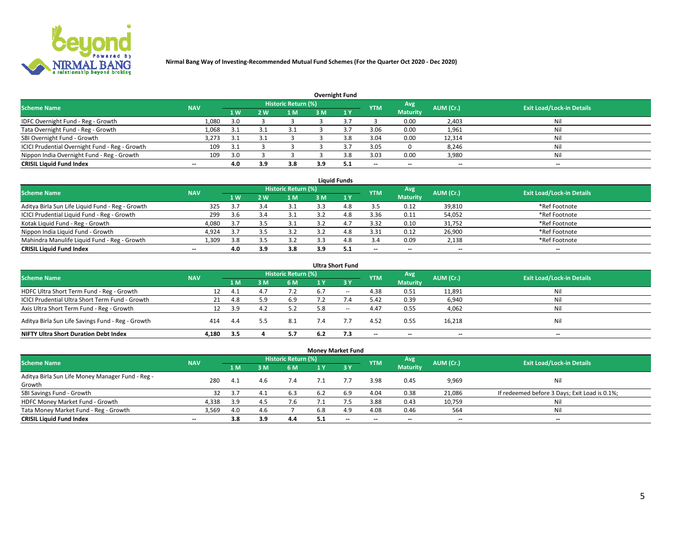

| <b>Overnight Fund</b>                          |            |     |     |                            |     |     |            |                 |           |                                  |  |  |  |
|------------------------------------------------|------------|-----|-----|----------------------------|-----|-----|------------|-----------------|-----------|----------------------------------|--|--|--|
| <b>Scheme Name</b>                             | <b>NAV</b> |     |     | <b>Historic Return (%)</b> |     |     | <b>YTM</b> | Avg             | AUM (Cr.) | <b>Exit Load/Lock-in Details</b> |  |  |  |
|                                                |            | 1 W | 2 W | 1 M                        | 3M  |     |            | <b>Maturity</b> |           |                                  |  |  |  |
| IDFC Overnight Fund - Reg - Growth             | 1,080      | 3.0 |     |                            |     |     |            | 0.00            | 2,403     | Nil                              |  |  |  |
| Tata Overnight Fund - Reg - Growth             | 1,068      | 3.1 |     | 3.1                        |     |     | 3.06       | 0.00            | 1,961     | Nil                              |  |  |  |
| SBI Overnight Fund - Growth                    | 3,273      | 3.1 |     |                            |     | 3.8 | 3.04       | 0.00            | 12,314    | Nil                              |  |  |  |
| ICICI Prudential Overnight Fund - Reg - Growth | 109        | 3.1 |     |                            |     |     | 3.05       |                 | 8,246     | Nil                              |  |  |  |
| Nippon India Overnight Fund - Reg - Growth     | 109        | 3.0 |     |                            |     | 3 R | 3.03       | 0.00            | 3,980     | Nil                              |  |  |  |
| <b>CRISIL Liquid Fund Index</b>                | $-$        | 4.0 | 3.9 | 3.8                        | 3.9 |     | $-$        | $- -$           | $- -$     | $- -$                            |  |  |  |

| <b>Liquid Funds</b>                              |                          |     |                          |                     |     |              |                          |                          |                          |                                  |  |  |  |  |
|--------------------------------------------------|--------------------------|-----|--------------------------|---------------------|-----|--------------|--------------------------|--------------------------|--------------------------|----------------------------------|--|--|--|--|
| <b>Scheme Name</b>                               | <b>NAV</b>               |     |                          | Historic Return (%) |     |              | <b>YTM</b>               | Avg                      | AUM (Cr.)                | <b>Exit Load/Lock-in Details</b> |  |  |  |  |
|                                                  |                          | 4W  | 2 W                      | l M                 | 3 M | $\sqrt{1}$ Y |                          | <b>Maturity</b>          |                          |                                  |  |  |  |  |
| Aditya Birla Sun Life Liquid Fund - Reg - Growth | 325                      | 3.7 | 3.4                      | 3.1                 |     | 4.8          | 3.5                      | 0.12                     | 39,810                   | *Ref Footnote                    |  |  |  |  |
| ICICI Prudential Liquid Fund - Reg - Growth      | 299                      | 3.6 | 3.4                      | 3.1                 |     | 4.8          | 3.36                     | 0.11                     | 54,052                   | *Ref Footnote                    |  |  |  |  |
| Kotak Liquid Fund - Reg - Growth                 | 4,080                    | 3.7 | 3.5                      | 3.1                 |     | 4.7          | 3.32                     | 0.10                     | 31,752                   | *Ref Footnote                    |  |  |  |  |
| Nippon India Liquid Fund - Growth                | 4,924                    | 3.7 | $\overline{\phantom{a}}$ |                     |     | 4.8          | 3.31                     | 0.12                     | 26,900                   | *Ref Footnote                    |  |  |  |  |
| Mahindra Manulife Liquid Fund - Reg - Growth     | 1.309                    | 3.8 | $\mathbf{a}$             | 3.2                 |     | 4.8          | 3.4                      | 0.09                     | 2,138                    | *Ref Footnote                    |  |  |  |  |
| <b>CRISIL Liquid Fund Index</b>                  | $\overline{\phantom{a}}$ | 4.0 | 3.9                      | 3.8                 | 3.9 | 5.1          | $\overline{\phantom{a}}$ | $\overline{\phantom{a}}$ | $\overline{\phantom{a}}$ | $-$                              |  |  |  |  |

|                                                   |            |      |     |                     |     | <b>Ultra Short Fund</b> |                          |                          |           |                                  |
|---------------------------------------------------|------------|------|-----|---------------------|-----|-------------------------|--------------------------|--------------------------|-----------|----------------------------------|
| <b>Scheme Name</b>                                | <b>NAV</b> |      |     | Historic Return (%) |     |                         | <b>YTM</b>               | Avg                      | AUM (Cr.) | <b>Exit Load/Lock-in Details</b> |
|                                                   |            | 1 M  | sм  | 6 M                 | 1 Y | $\sqrt{3}$ Y            |                          | <b>Maturity</b>          |           |                                  |
| HDFC Ultra Short Term Fund - Reg - Growth         | 12         | -4.1 |     | 7.2                 | 6.7 | $\sim$                  | 4.38                     | 0.51                     | 11,891    | Nil                              |
| ICICI Prudential Ultra Short Term Fund - Growth   | 21         | 4.8  |     | 6.9                 |     |                         | 5.42                     | 0.39                     | 6,940     | Nil                              |
| Axis Ultra Short Term Fund - Reg - Growth         |            | 3.9  | 4.2 | 5.2                 | 5.8 | $- -$                   | 4.47                     | 0.55                     | 4,062     | Nil                              |
| Aditya Birla Sun Life Savings Fund - Reg - Growth | 414        | 4.4  |     | -8.1                | 7.4 |                         | 4.52                     | 0.55                     | 16,218    | Nil                              |
| <b>NIFTY Ultra Short Duration Debt Index</b>      | 4.180      | 3.5  |     | 5.7                 | 6.2 | 7.3                     | $\overline{\phantom{a}}$ | $\overline{\phantom{a}}$ | $- -$     | $-$                              |

|                                                  |                          |     |      |                            | <b>Money Market Fund</b> |                               |            |                          |                          |                                               |
|--------------------------------------------------|--------------------------|-----|------|----------------------------|--------------------------|-------------------------------|------------|--------------------------|--------------------------|-----------------------------------------------|
| <b>Scheme Name</b>                               | <b>NAV</b>               |     |      | <b>Historic Return (%)</b> |                          |                               | <b>YTM</b> | Avg                      | AUM (Cr.)                | <b>Exit Load/Lock-in Details</b>              |
|                                                  |                          | 1 M | ١M   | 6 M                        | 1 Y                      | $\overline{3}$ $\overline{Y}$ |            | <b>Maturity</b>          |                          |                                               |
| Aditya Birla Sun Life Money Manager Fund - Reg - | 280                      | 4.1 |      | 7.4                        |                          |                               | 3.98       | 0.45                     | 9,969                    | Nil                                           |
| Growth                                           |                          |     | 4.6  |                            |                          |                               |            |                          |                          |                                               |
| SBI Savings Fund - Growth                        | 32                       | 3.7 | 4.1  | 6.3                        | 6.2                      | 6.9                           | 4.04       | 0.38                     | 21,086                   | If redeemed before 3 Days; Exit Load is 0.1%; |
| HDFC Money Market Fund - Growth                  | 4,338                    | 3.9 | -4.5 | 7.6                        | 7. L                     |                               | 3.88       | 0.43                     | 10,759                   | Nil                                           |
| Tata Money Market Fund - Reg - Growth            | 3,569                    | 4.0 | 4.6  |                            | 6.8                      | 4.9                           | 4.08       | 0.46                     | 564                      | Nil                                           |
| <b>CRISIL Liquid Fund Index</b>                  | $\overline{\phantom{a}}$ | 3.8 | 3.9  | 4.4                        | 5.1                      | $- -$                         | --         | $\overline{\phantom{a}}$ | $\overline{\phantom{a}}$ | $\overline{\phantom{a}}$                      |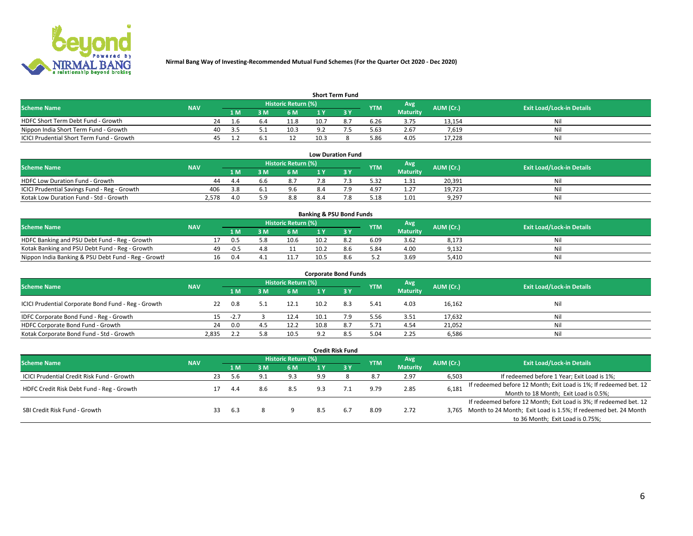

| <b>Short Term Fund</b>                    |            |    |      |     |                            |      |  |            |                 |           |                                  |  |  |  |
|-------------------------------------------|------------|----|------|-----|----------------------------|------|--|------------|-----------------|-----------|----------------------------------|--|--|--|
| <b>Scheme Name</b>                        | <b>NAV</b> |    |      |     | <b>Historic Return (%)</b> |      |  | <b>YTM</b> | Avg             | AUM (Cr.) | <b>Exit Load/Lock-in Details</b> |  |  |  |
|                                           |            |    | 1 M. | 3 M | 6 M                        | 1 V  |  |            | <b>Maturity</b> |           |                                  |  |  |  |
| HDFC Short Term Debt Fund - Growth        |            | 24 | 1.6  | 6.4 | 11.8                       | 10.7 |  | 6.26       | 3.75            | 13,154    | Nil                              |  |  |  |
| Nippon India Short Term Fund - Growth     |            | 40 | 3.5  |     | 10.3                       |      |  | 5.63       | 2.67            | 7.619     | Nil                              |  |  |  |
| ICICI Prudential Short Term Fund - Growth |            |    |      |     |                            | 10.3 |  | 5.86       | 4.05            | 17.228    | Nil                              |  |  |  |

| <b>Low Duration Fund</b>                     |            |     |  |                     |     |  |            |                 |           |                                  |  |  |  |
|----------------------------------------------|------------|-----|--|---------------------|-----|--|------------|-----------------|-----------|----------------------------------|--|--|--|
| <b>Scheme Name</b>                           | <b>NAV</b> |     |  | Historic Return (%) |     |  | <b>YTM</b> | Avg             | AUM (Cr.) | <b>Exit Load/Lock-in Details</b> |  |  |  |
|                                              |            | 1 M |  | 6 M                 |     |  |            | <b>Maturity</b> |           |                                  |  |  |  |
| HDFC Low Duration Fund - Growth              | 44         | 4.4 |  | 8.7                 | 7.8 |  | 5.32       | 1.31            | 20,391    | Nil                              |  |  |  |
| ICICI Prudential Savings Fund - Reg - Growth | 406        | 3.8 |  | 9.6                 |     |  | 4.97       | 1.27            | 19.723    | Nil                              |  |  |  |
| Kotak Low Duration Fund - Std - Growth       | 2,578      | 4.0 |  | 8.8                 | 8.4 |  | 5.18       | 1.01            | 9,297     | Nil                              |  |  |  |

| <b>Banking &amp; PSU Bond Funds</b>                 |            |    |        |  |                     |      |     |            |                 |           |                                  |  |  |  |
|-----------------------------------------------------|------------|----|--------|--|---------------------|------|-----|------------|-----------------|-----------|----------------------------------|--|--|--|
| <b>Scheme Name</b>                                  | <b>NAV</b> |    |        |  | Historic Return (%) |      |     | <b>YTM</b> | Avg             | AUM (Cr.) | <b>Exit Load/Lock-in Details</b> |  |  |  |
|                                                     |            |    | 1 M    |  | 6 M                 |      |     |            | <b>Maturity</b> |           |                                  |  |  |  |
| HDFC Banking and PSU Debt Fund - Reg - Growth       |            |    | 0.5    |  | 10.6                | 10.2 |     | 6.09       | 3.62            | 8,173     | Nil                              |  |  |  |
| Kotak Banking and PSU Debt Fund - Reg - Growth      |            | 49 | $-0.5$ |  |                     | 10.2 | 8.6 | 5.84       | 4.00            | 9,132     | Nil                              |  |  |  |
| Nippon India Banking & PSU Debt Fund - Reg - Growth |            | 16 | 0.4    |  | 11.7                | 10.5 | 8.6 | 5.2        | 3.69            | 5.410     | Nil                              |  |  |  |

| <b>Corporate Bond Funds</b>                         |            |        |     |                                  |      |     |            |                        |           |                                  |  |  |
|-----------------------------------------------------|------------|--------|-----|----------------------------------|------|-----|------------|------------------------|-----------|----------------------------------|--|--|
| <b>Scheme Name</b>                                  | <b>NAV</b> |        |     | Historic Return (%) <sup> </sup> |      |     | <b>YTM</b> | Avg<br><b>Maturity</b> | AUM (Cr.) | <b>Exit Load/Lock-in Details</b> |  |  |
|                                                     |            | 1 M    | ያ M | 6 M                              | 1 Y  |     |            |                        |           |                                  |  |  |
| ICICI Prudential Corporate Bond Fund - Reg - Growth | 22         | 0.8    |     | 12.1                             | 10.2 | 8.3 | 5.41       | 4.03                   | 16,162    | Nil                              |  |  |
| IDFC Corporate Bond Fund - Reg - Growth             | 15         | $-2.7$ |     | 12.4                             | 10.1 |     | 5.56       | 3.51                   | 17,632    | Nil                              |  |  |
| HDFC Corporate Bond Fund - Growth                   | 24         | 0.0    | 4.5 | 12.2                             | 10.8 | 8.7 | 5.71       | 4.54                   | 21,052    | Nil                              |  |  |
| Kotak Corporate Bond Fund - Std - Growth            | 2.835      |        |     | 10.5                             | 9.2  | 8.5 | 5.04       | 2.25                   | 6,586     | Nil                              |  |  |

|                                            |            |                     |      |                |     |     | <b>Credit Risk Fund</b> |            |                 |           |                                                                       |
|--------------------------------------------|------------|---------------------|------|----------------|-----|-----|-------------------------|------------|-----------------|-----------|-----------------------------------------------------------------------|
| <b>Scheme Name</b>                         | <b>NAV</b> | Historic Return (%) |      |                |     |     |                         | <b>YTM</b> | Avg             | AUM (Cr.) | <b>Exit Load/Lock-in Details</b>                                      |
|                                            |            |                     | 1 M  | 3 M            | 6 M |     | '3V                     |            | <b>Maturity</b> |           |                                                                       |
| ICICI Prudential Credit Risk Fund - Growth |            | 23                  | 5.6  | Q <sub>1</sub> | 9.3 | 9.9 |                         | 8.7        | 2.97            | 6,503     | If redeemed before 1 Year; Exit Load is 1%;                           |
| HDFC Credit Risk Debt Fund - Reg - Growth  |            |                     | 4.4  | 8.6            | 8.5 | 9.3 |                         | 9.79       | 2.85            | 6,181     | If redeemed before 12 Month; Exit Load is 1%; If redeemed bet. 12     |
|                                            |            |                     |      |                |     |     |                         |            |                 |           | Month to 18 Month; Exit Load is 0.5%;                                 |
|                                            |            |                     |      |                |     |     |                         |            |                 |           | If redeemed before 12 Month; Exit Load is 3%; If redeemed bet. 12     |
| SBI Credit Risk Fund - Growth              |            | 33                  | -6.3 |                |     | 8.5 | 6.7                     | 8.09       | 2.72            |           | 3,765 Month to 24 Month; Exit Load is 1.5%; If redeemed bet. 24 Month |
|                                            |            |                     |      |                |     |     |                         |            |                 |           | to 36 Month; Exit Load is 0.75%;                                      |